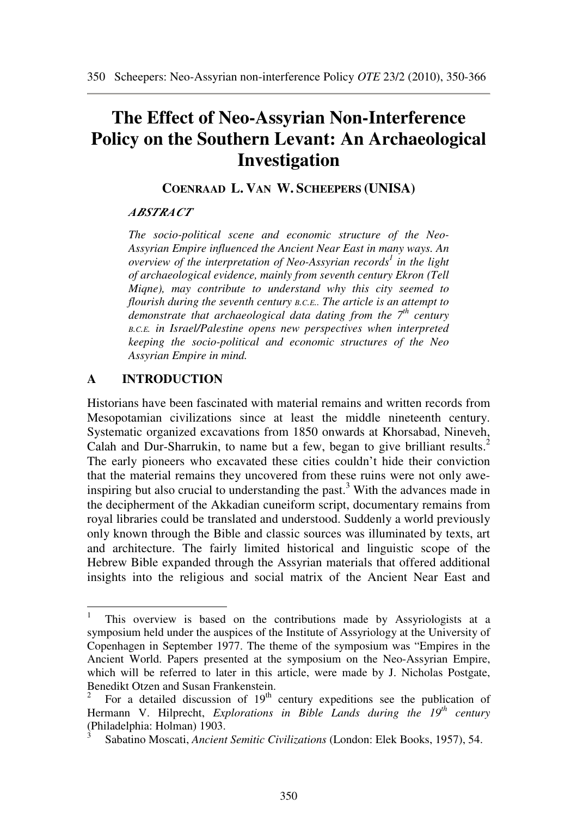# **The Effect of Neo-Assyrian Non-Interference Policy on the Southern Levant: An Archaeological Investigation**

**COENRAAD L. VAN W. SCHEEPERS (UNISA)** 

## *ABSTRACT*

*The socio-political scene and economic structure of the Neo-Assyrian Empire influenced the Ancient Near East in many ways. An overview of the interpretation of Neo-Assyrian records<sup>1</sup> in the light of archaeological evidence, mainly from seventh century Ekron (Tell Miqne), may contribute to understand why this city seemed to flourish during the seventh century B.C.E.. The article is an attempt to demonstrate that archaeological data dating from the 7th century <sup>B</sup>.C.E. in Israel/Palestine opens new perspectives when interpreted keeping the socio-political and economic structures of the Neo Assyrian Empire in mind.* 

# **A INTRODUCTION**

Historians have been fascinated with material remains and written records from Mesopotamian civilizations since at least the middle nineteenth century. Systematic organized excavations from 1850 onwards at Khorsabad, Nineveh, Calah and Dur-Sharrukin, to name but a few, began to give brilliant results.<sup>2</sup> The early pioneers who excavated these cities couldn't hide their conviction that the material remains they uncovered from these ruins were not only aweinspiring but also crucial to understanding the past.<sup>3</sup> With the advances made in the decipherment of the Akkadian cuneiform script, documentary remains from royal libraries could be translated and understood. Suddenly a world previously only known through the Bible and classic sources was illuminated by texts, art and architecture. The fairly limited historical and linguistic scope of the Hebrew Bible expanded through the Assyrian materials that offered additional insights into the religious and social matrix of the Ancient Near East and

 1 This overview is based on the contributions made by Assyriologists at a symposium held under the auspices of the Institute of Assyriology at the University of Copenhagen in September 1977. The theme of the symposium was "Empires in the Ancient World. Papers presented at the symposium on the Neo-Assyrian Empire, which will be referred to later in this article, were made by J. Nicholas Postgate, Benedikt Otzen and Susan Frankenstein.

<sup>2</sup> For a detailed discussion of  $19<sup>th</sup>$  century expeditions see the publication of Hermann V. Hilprecht, *Explorations in Bible Lands during the 19th century* (Philadelphia: Holman) 1903.

<sup>3</sup>Sabatino Moscati, *Ancient Semitic Civilizations* (London: Elek Books, 1957), 54.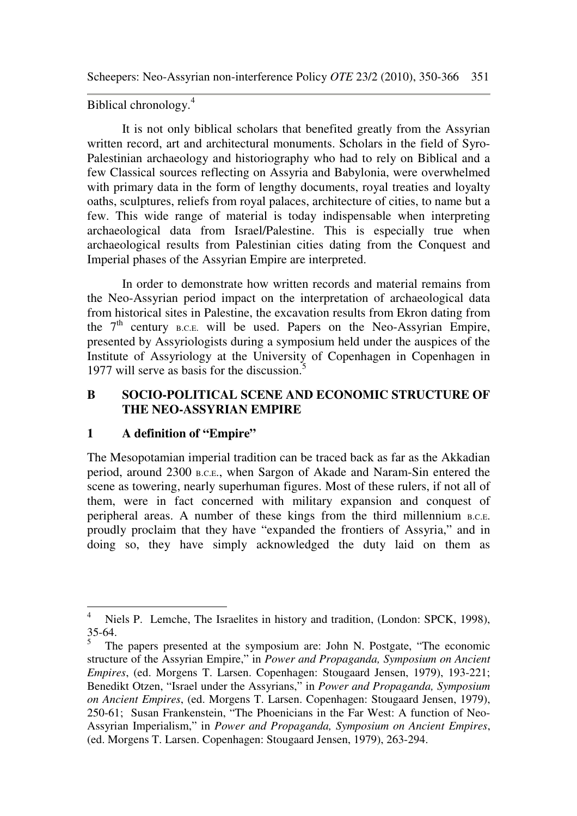Biblical chronology.<sup>4</sup>

It is not only biblical scholars that benefited greatly from the Assyrian written record, art and architectural monuments. Scholars in the field of Syro-Palestinian archaeology and historiography who had to rely on Biblical and a few Classical sources reflecting on Assyria and Babylonia, were overwhelmed with primary data in the form of lengthy documents, royal treaties and loyalty oaths, sculptures, reliefs from royal palaces, architecture of cities, to name but a few. This wide range of material is today indispensable when interpreting archaeological data from Israel/Palestine. This is especially true when archaeological results from Palestinian cities dating from the Conquest and Imperial phases of the Assyrian Empire are interpreted.

In order to demonstrate how written records and material remains from the Neo-Assyrian period impact on the interpretation of archaeological data from historical sites in Palestine, the excavation results from Ekron dating from the  $7<sup>th</sup>$  century B.C.E. will be used. Papers on the Neo-Assyrian Empire, presented by Assyriologists during a symposium held under the auspices of the Institute of Assyriology at the University of Copenhagen in Copenhagen in 1977 will serve as basis for the discussion.<sup>5</sup>

## **B SOCIO-POLITICAL SCENE AND ECONOMIC STRUCTURE OF THE NEO-ASSYRIAN EMPIRE**

## **1 A definition of "Empire"**

The Mesopotamian imperial tradition can be traced back as far as the Akkadian period, around 2300 B.C.E., when Sargon of Akade and Naram-Sin entered the scene as towering, nearly superhuman figures. Most of these rulers, if not all of them, were in fact concerned with military expansion and conquest of peripheral areas. A number of these kings from the third millennium B.C.E. proudly proclaim that they have "expanded the frontiers of Assyria," and in doing so, they have simply acknowledged the duty laid on them as

 $\overline{4}$ Niels P. Lemche, The Israelites in history and tradition, (London: SPCK, 1998), 35-64.

<sup>5</sup> The papers presented at the symposium are: John N. Postgate, "The economic structure of the Assyrian Empire," in *Power and Propaganda, Symposium on Ancient Empires*, (ed. Morgens T. Larsen. Copenhagen: Stougaard Jensen, 1979), 193-221; Benedikt Otzen, "Israel under the Assyrians," in *Power and Propaganda, Symposium on Ancient Empires*, (ed. Morgens T. Larsen. Copenhagen: Stougaard Jensen, 1979), 250-61; Susan Frankenstein, "The Phoenicians in the Far West: A function of Neo-Assyrian Imperialism," in *Power and Propaganda, Symposium on Ancient Empires*, (ed. Morgens T. Larsen. Copenhagen: Stougaard Jensen, 1979), 263-294.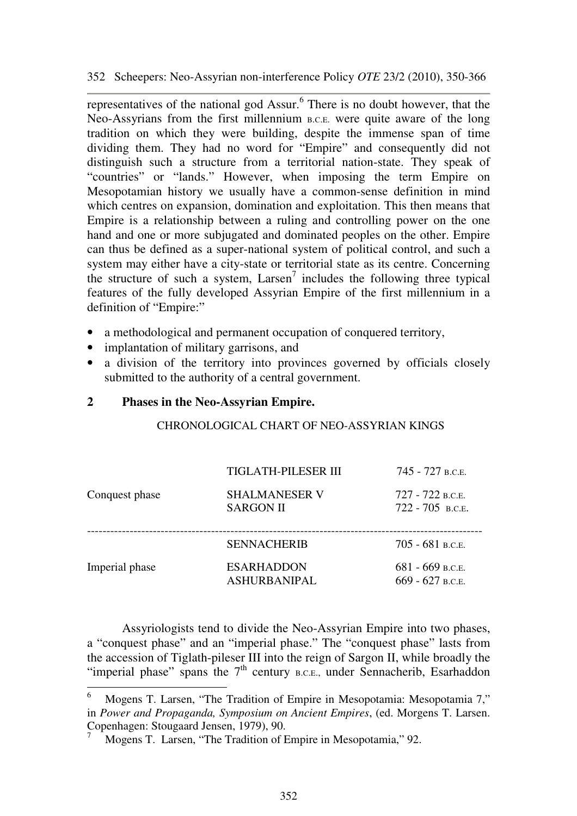representatives of the national god Assur. $<sup>6</sup>$  There is no doubt however, that the</sup> Neo-Assyrians from the first millennium B.C.E. were quite aware of the long tradition on which they were building, despite the immense span of time dividing them. They had no word for "Empire" and consequently did not distinguish such a structure from a territorial nation-state. They speak of "countries" or "lands." However, when imposing the term Empire on Mesopotamian history we usually have a common-sense definition in mind which centres on expansion, domination and exploitation. This then means that Empire is a relationship between a ruling and controlling power on the one hand and one or more subjugated and dominated peoples on the other. Empire can thus be defined as a super-national system of political control, and such a system may either have a city-state or territorial state as its centre. Concerning the structure of such a system,  $Larsen<sup>7</sup>$  includes the following three typical features of the fully developed Assyrian Empire of the first millennium in a definition of "Empire:"

- a methodological and permanent occupation of conquered territory,
- implantation of military garrisons, and
- a division of the territory into provinces governed by officials closely submitted to the authority of a central government.

### **2 Phases in the Neo-Assyrian Empire.**

 $\overline{a}$ 

#### CHRONOLOGICAL CHART OF NEO-ASSYRIAN KINGS

|                | <b>TIGLATH-PILESER III</b>               | 745 - 727 в.с.е.                       |
|----------------|------------------------------------------|----------------------------------------|
| Conquest phase | <b>SHALMANESER V</b><br><b>SARGON II</b> | 727 - 722 в.с.е.<br>$722 - 705$ B.C.E. |
|                | <b>SENNACHERIB</b>                       | $705 - 681$ B.C.E.                     |
| Imperial phase | <b>ESARHADDON</b><br><b>ASHURBANIPAL</b> | $681 - 669$ b.c.e.<br>669 - 627 B.C.E. |

Assyriologists tend to divide the Neo-Assyrian Empire into two phases, a "conquest phase" and an "imperial phase." The "conquest phase" lasts from the accession of Tiglath-pileser III into the reign of Sargon II, while broadly the "imperial phase" spans the  $7<sup>th</sup>$  century B.C.E., under Sennacherib, Esarhaddon

<sup>6</sup> Mogens T. Larsen, "The Tradition of Empire in Mesopotamia: Mesopotamia 7," in *Power and Propaganda, Symposium on Ancient Empires*, (ed. Morgens T. Larsen. Copenhagen: Stougaard Jensen, 1979), 90.

<sup>7</sup> Mogens T. Larsen, "The Tradition of Empire in Mesopotamia," 92.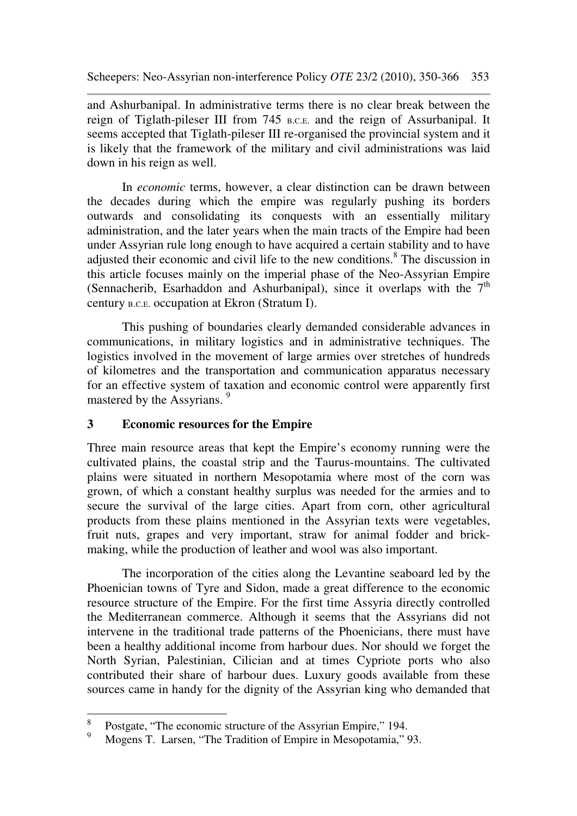and Ashurbanipal. In administrative terms there is no clear break between the reign of Tiglath-pileser III from 745 B.C.E. and the reign of Assurbanipal. It seems accepted that Tiglath-pileser III re-organised the provincial system and it is likely that the framework of the military and civil administrations was laid down in his reign as well.

In *economic* terms, however, a clear distinction can be drawn between the decades during which the empire was regularly pushing its borders outwards and consolidating its conquests with an essentially military administration, and the later years when the main tracts of the Empire had been under Assyrian rule long enough to have acquired a certain stability and to have adjusted their economic and civil life to the new conditions. $8$  The discussion in this article focuses mainly on the imperial phase of the Neo-Assyrian Empire (Sennacherib, Esarhaddon and Ashurbanipal), since it overlaps with the  $7<sup>th</sup>$ century B.C.E. occupation at Ekron (Stratum I).

This pushing of boundaries clearly demanded considerable advances in communications, in military logistics and in administrative techniques. The logistics involved in the movement of large armies over stretches of hundreds of kilometres and the transportation and communication apparatus necessary for an effective system of taxation and economic control were apparently first mastered by the Assyrians.<sup>9</sup>

## **3 Economic resources for the Empire**

Three main resource areas that kept the Empire's economy running were the cultivated plains, the coastal strip and the Taurus-mountains. The cultivated plains were situated in northern Mesopotamia where most of the corn was grown, of which a constant healthy surplus was needed for the armies and to secure the survival of the large cities. Apart from corn, other agricultural products from these plains mentioned in the Assyrian texts were vegetables, fruit nuts, grapes and very important, straw for animal fodder and brickmaking, while the production of leather and wool was also important.

The incorporation of the cities along the Levantine seaboard led by the Phoenician towns of Tyre and Sidon, made a great difference to the economic resource structure of the Empire. For the first time Assyria directly controlled the Mediterranean commerce. Although it seems that the Assyrians did not intervene in the traditional trade patterns of the Phoenicians, there must have been a healthy additional income from harbour dues. Nor should we forget the North Syrian, Palestinian, Cilician and at times Cypriote ports who also contributed their share of harbour dues. Luxury goods available from these sources came in handy for the dignity of the Assyrian king who demanded that

 8 Postgate, "The economic structure of the Assyrian Empire," 194.

<sup>9</sup> Mogens T. Larsen, "The Tradition of Empire in Mesopotamia," 93.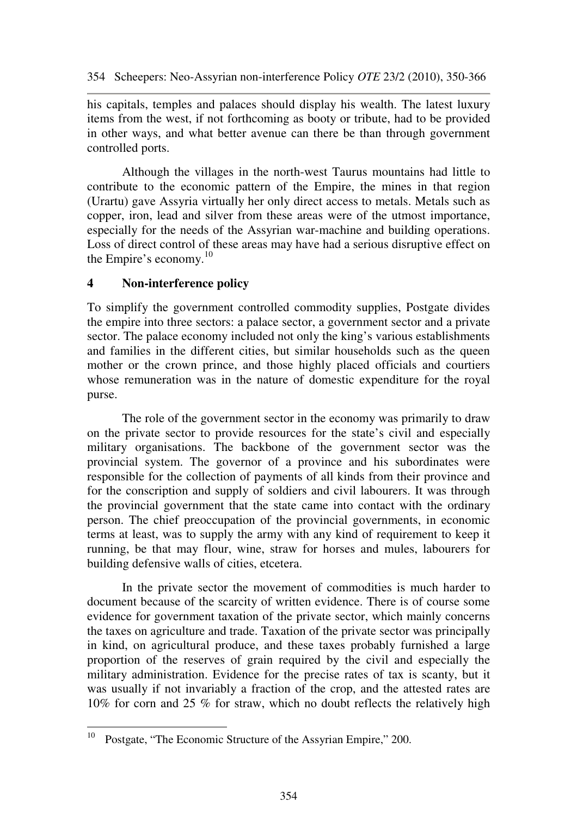his capitals, temples and palaces should display his wealth. The latest luxury items from the west, if not forthcoming as booty or tribute, had to be provided in other ways, and what better avenue can there be than through government controlled ports.

Although the villages in the north-west Taurus mountains had little to contribute to the economic pattern of the Empire, the mines in that region (Urartu) gave Assyria virtually her only direct access to metals. Metals such as copper, iron, lead and silver from these areas were of the utmost importance, especially for the needs of the Assyrian war-machine and building operations. Loss of direct control of these areas may have had a serious disruptive effect on the Empire's economy. $10$ 

## **4 Non-interference policy**

To simplify the government controlled commodity supplies, Postgate divides the empire into three sectors: a palace sector, a government sector and a private sector. The palace economy included not only the king's various establishments and families in the different cities, but similar households such as the queen mother or the crown prince, and those highly placed officials and courtiers whose remuneration was in the nature of domestic expenditure for the royal purse.

The role of the government sector in the economy was primarily to draw on the private sector to provide resources for the state's civil and especially military organisations. The backbone of the government sector was the provincial system. The governor of a province and his subordinates were responsible for the collection of payments of all kinds from their province and for the conscription and supply of soldiers and civil labourers. It was through the provincial government that the state came into contact with the ordinary person. The chief preoccupation of the provincial governments, in economic terms at least, was to supply the army with any kind of requirement to keep it running, be that may flour, wine, straw for horses and mules, labourers for building defensive walls of cities, etcetera.

In the private sector the movement of commodities is much harder to document because of the scarcity of written evidence. There is of course some evidence for government taxation of the private sector, which mainly concerns the taxes on agriculture and trade. Taxation of the private sector was principally in kind, on agricultural produce, and these taxes probably furnished a large proportion of the reserves of grain required by the civil and especially the military administration. Evidence for the precise rates of tax is scanty, but it was usually if not invariably a fraction of the crop, and the attested rates are 10% for corn and 25 % for straw, which no doubt reflects the relatively high

 $\overline{a}$ <sup>10</sup> Postgate, "The Economic Structure of the Assyrian Empire," 200.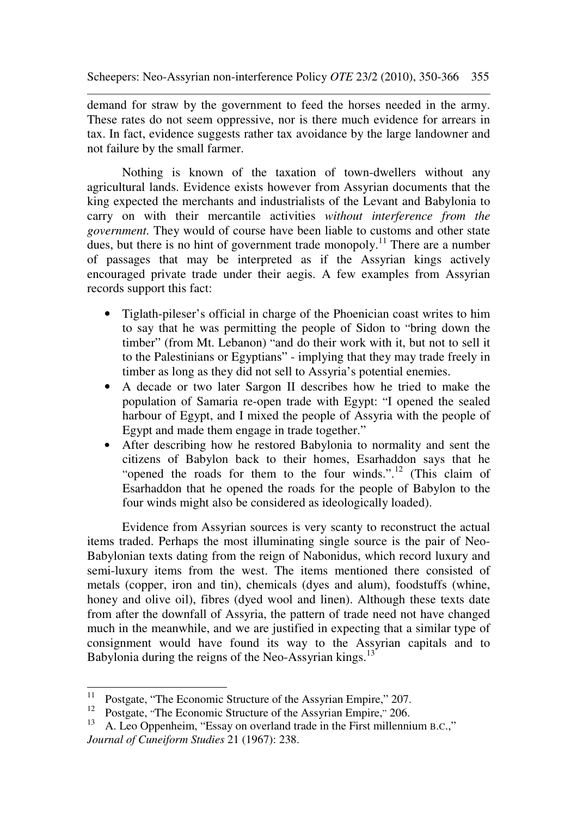demand for straw by the government to feed the horses needed in the army. These rates do not seem oppressive, nor is there much evidence for arrears in tax. In fact, evidence suggests rather tax avoidance by the large landowner and not failure by the small farmer.

Nothing is known of the taxation of town-dwellers without any agricultural lands. Evidence exists however from Assyrian documents that the king expected the merchants and industrialists of the Levant and Babylonia to carry on with their mercantile activities *without interference from the government.* They would of course have been liable to customs and other state dues, but there is no hint of government trade monopoly.<sup>11</sup> There are a number of passages that may be interpreted as if the Assyrian kings actively encouraged private trade under their aegis. A few examples from Assyrian records support this fact:

- Tiglath-pileser's official in charge of the Phoenician coast writes to him to say that he was permitting the people of Sidon to "bring down the timber" (from Mt. Lebanon) "and do their work with it, but not to sell it to the Palestinians or Egyptians" - implying that they may trade freely in timber as long as they did not sell to Assyria's potential enemies.
- A decade or two later Sargon II describes how he tried to make the population of Samaria re-open trade with Egypt: "I opened the sealed harbour of Egypt, and I mixed the people of Assyria with the people of Egypt and made them engage in trade together."
- After describing how he restored Babylonia to normality and sent the citizens of Babylon back to their homes, Esarhaddon says that he "opened the roads for them to the four winds.".<sup>12</sup> (This claim of Esarhaddon that he opened the roads for the people of Babylon to the four winds might also be considered as ideologically loaded).

Evidence from Assyrian sources is very scanty to reconstruct the actual items traded. Perhaps the most illuminating single source is the pair of Neo-Babylonian texts dating from the reign of Nabonidus, which record luxury and semi-luxury items from the west. The items mentioned there consisted of metals (copper, iron and tin), chemicals (dyes and alum), foodstuffs (whine, honey and olive oil), fibres (dyed wool and linen). Although these texts date from after the downfall of Assyria, the pattern of trade need not have changed much in the meanwhile, and we are justified in expecting that a similar type of consignment would have found its way to the Assyrian capitals and to Babylonia during the reigns of the Neo-Assyrian kings.<sup>13</sup>

 $11$ Postgate, "The Economic Structure of the Assyrian Empire," 207.

<sup>&</sup>lt;sup>12</sup> Postgate, "The Economic Structure of the Assyrian Empire," 206.

<sup>13</sup> A. Leo Oppenheim, "Essay on overland trade in the First millennium B.C.," *Journal of Cuneiform Studies* 21 (1967): 238.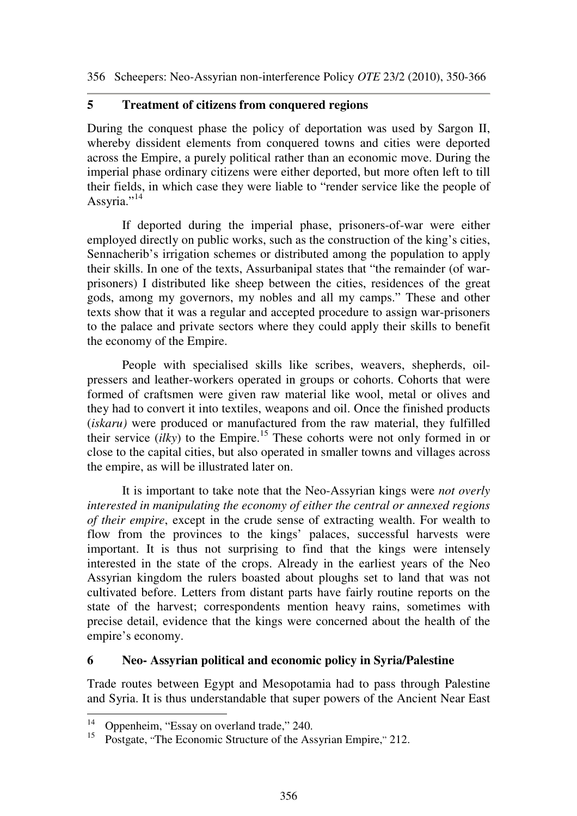## **5 Treatment of citizens from conquered regions**

During the conquest phase the policy of deportation was used by Sargon II, whereby dissident elements from conquered towns and cities were deported across the Empire, a purely political rather than an economic move. During the imperial phase ordinary citizens were either deported, but more often left to till their fields, in which case they were liable to "render service like the people of Assyria."<sup>14</sup>

If deported during the imperial phase, prisoners-of-war were either employed directly on public works, such as the construction of the king's cities, Sennacherib's irrigation schemes or distributed among the population to apply their skills. In one of the texts, Assurbanipal states that "the remainder (of warprisoners) I distributed like sheep between the cities, residences of the great gods, among my governors, my nobles and all my camps." These and other texts show that it was a regular and accepted procedure to assign war-prisoners to the palace and private sectors where they could apply their skills to benefit the economy of the Empire.

People with specialised skills like scribes, weavers, shepherds, oilpressers and leather-workers operated in groups or cohorts. Cohorts that were formed of craftsmen were given raw material like wool, metal or olives and they had to convert it into textiles, weapons and oil. Once the finished products (*iskaru)* were produced or manufactured from the raw material, they fulfilled their service  $(i\ell ky)$  to the Empire.<sup>15</sup> These cohorts were not only formed in or close to the capital cities, but also operated in smaller towns and villages across the empire, as will be illustrated later on.

It is important to take note that the Neo-Assyrian kings were *not overly interested in manipulating the economy of either the central or annexed regions of their empire*, except in the crude sense of extracting wealth. For wealth to flow from the provinces to the kings' palaces, successful harvests were important. It is thus not surprising to find that the kings were intensely interested in the state of the crops. Already in the earliest years of the Neo Assyrian kingdom the rulers boasted about ploughs set to land that was not cultivated before. Letters from distant parts have fairly routine reports on the state of the harvest; correspondents mention heavy rains, sometimes with precise detail, evidence that the kings were concerned about the health of the empire's economy.

#### **6 Neo- Assyrian political and economic policy in Syria/Palestine**

Trade routes between Egypt and Mesopotamia had to pass through Palestine and Syria. It is thus understandable that super powers of the Ancient Near East

 $14$ Oppenheim, "Essay on overland trade," 240.

<sup>&</sup>lt;sup>15</sup> Postgate, "The Economic Structure of the Assyrian Empire," 212.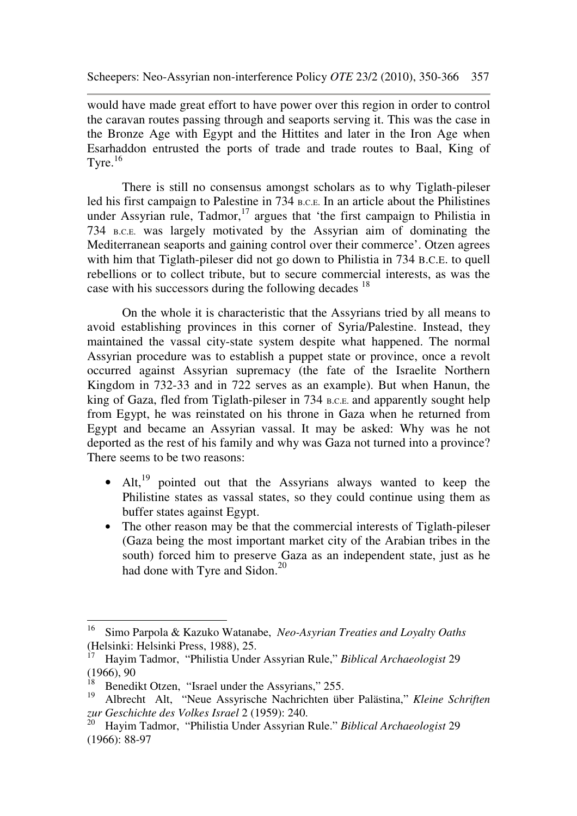would have made great effort to have power over this region in order to control the caravan routes passing through and seaports serving it. This was the case in the Bronze Age with Egypt and the Hittites and later in the Iron Age when Esarhaddon entrusted the ports of trade and trade routes to Baal, King of Tyre. $16$ 

There is still no consensus amongst scholars as to why Tiglath-pileser led his first campaign to Palestine in 734 B.C.E. In an article about the Philistines under Assyrian rule, Tadmor, $17$  argues that 'the first campaign to Philistia in 734 B.C.E. was largely motivated by the Assyrian aim of dominating the Mediterranean seaports and gaining control over their commerce'. Otzen agrees with him that Tiglath-pileser did not go down to Philistia in 734 B.C.E. to quell rebellions or to collect tribute, but to secure commercial interests, as was the case with his successors during the following decades <sup>18</sup>

On the whole it is characteristic that the Assyrians tried by all means to avoid establishing provinces in this corner of Syria/Palestine. Instead, they maintained the vassal city-state system despite what happened. The normal Assyrian procedure was to establish a puppet state or province, once a revolt occurred against Assyrian supremacy (the fate of the Israelite Northern Kingdom in 732-33 and in 722 serves as an example). But when Hanun, the king of Gaza, fled from Tiglath-pileser in 734 B.C.E. and apparently sought help from Egypt, he was reinstated on his throne in Gaza when he returned from Egypt and became an Assyrian vassal. It may be asked: Why was he not deported as the rest of his family and why was Gaza not turned into a province? There seems to be two reasons:

- Alt, $^{19}$  pointed out that the Assyrians always wanted to keep the Philistine states as vassal states, so they could continue using them as buffer states against Egypt.
- The other reason may be that the commercial interests of Tiglath-pileser (Gaza being the most important market city of the Arabian tribes in the south) forced him to preserve Gaza as an independent state, just as he had done with Tyre and Sidon.<sup>20</sup>

<sup>16</sup> <sup>16</sup> Simo Parpola & Kazuko Watanabe, *Neo-Asyrian Treaties and Loyalty Oaths*  (Helsinki: Helsinki Press, 1988), 25.

<sup>17</sup> Hayim Tadmor, "Philistia Under Assyrian Rule," *Biblical Archaeologist* 29 (1966), 90

<sup>&</sup>lt;sup>18</sup> Benedikt Otzen, "Israel under the Assyrians," 255.

<sup>19</sup> Albrecht Alt, "Neue Assyrische Nachrichten über Palästina," *Kleine Schriften zur Geschichte des Volkes Israel* 2 (1959): 240.<br><sup>20</sup> Havim Todress (1971)<sup>11</sup>

<sup>20</sup> Hayim Tadmor, "Philistia Under Assyrian Rule." *Biblical Archaeologist* 29 (1966): 88-97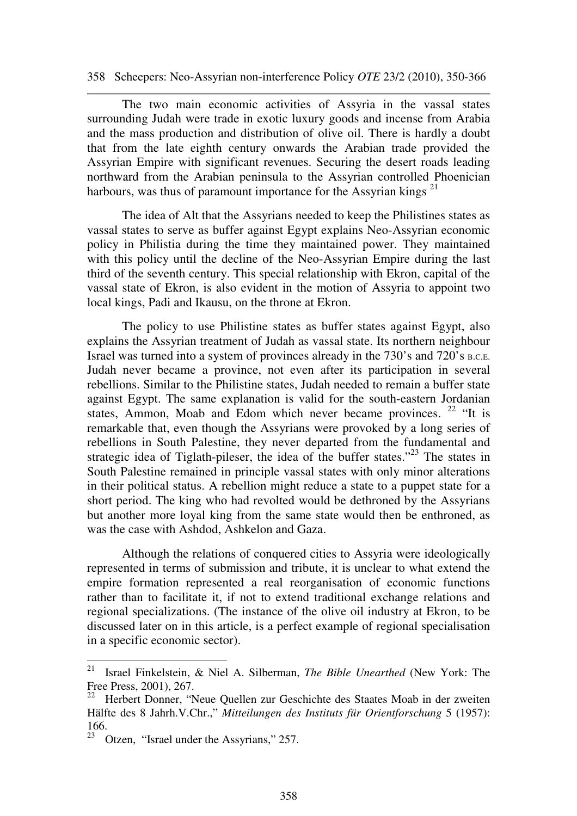The two main economic activities of Assyria in the vassal states surrounding Judah were trade in exotic luxury goods and incense from Arabia and the mass production and distribution of olive oil. There is hardly a doubt that from the late eighth century onwards the Arabian trade provided the Assyrian Empire with significant revenues. Securing the desert roads leading northward from the Arabian peninsula to the Assyrian controlled Phoenician harbours, was thus of paramount importance for the Assyrian kings<sup>21</sup>

The idea of Alt that the Assyrians needed to keep the Philistines states as vassal states to serve as buffer against Egypt explains Neo-Assyrian economic policy in Philistia during the time they maintained power. They maintained with this policy until the decline of the Neo-Assyrian Empire during the last third of the seventh century. This special relationship with Ekron, capital of the vassal state of Ekron, is also evident in the motion of Assyria to appoint two local kings, Padi and Ikausu, on the throne at Ekron.

The policy to use Philistine states as buffer states against Egypt, also explains the Assyrian treatment of Judah as vassal state. Its northern neighbour Israel was turned into a system of provinces already in the 730's and 720's B.C.E. Judah never became a province, not even after its participation in several rebellions. Similar to the Philistine states, Judah needed to remain a buffer state against Egypt. The same explanation is valid for the south-eastern Jordanian states, Ammon, Moab and Edom which never became provinces.  $22$  "It is remarkable that, even though the Assyrians were provoked by a long series of rebellions in South Palestine, they never departed from the fundamental and strategic idea of Tiglath-pileser, the idea of the buffer states."<sup>23</sup> The states in South Palestine remained in principle vassal states with only minor alterations in their political status. A rebellion might reduce a state to a puppet state for a short period. The king who had revolted would be dethroned by the Assyrians but another more loyal king from the same state would then be enthroned, as was the case with Ashdod, Ashkelon and Gaza.

Although the relations of conquered cities to Assyria were ideologically represented in terms of submission and tribute, it is unclear to what extend the empire formation represented a real reorganisation of economic functions rather than to facilitate it, if not to extend traditional exchange relations and regional specializations. (The instance of the olive oil industry at Ekron, to be discussed later on in this article, is a perfect example of regional specialisation in a specific economic sector).

 $\overline{a}$ 

<sup>21</sup> Israel Finkelstein, & Niel A. Silberman, *The Bible Unearthed* (New York: The Free Press, 2001), 267.

<sup>&</sup>lt;sup>22</sup> Herbert Donner, "Neue Quellen zur Geschichte des Staates Moab in der zweiten Hälfte des 8 Jahrh.V.Chr.," *Mitteilungen des Instituts für Orientforschung* 5 (1957): 166.

<sup>&</sup>lt;sup>23</sup> Otzen, "Israel under the Assyrians,"  $257$ .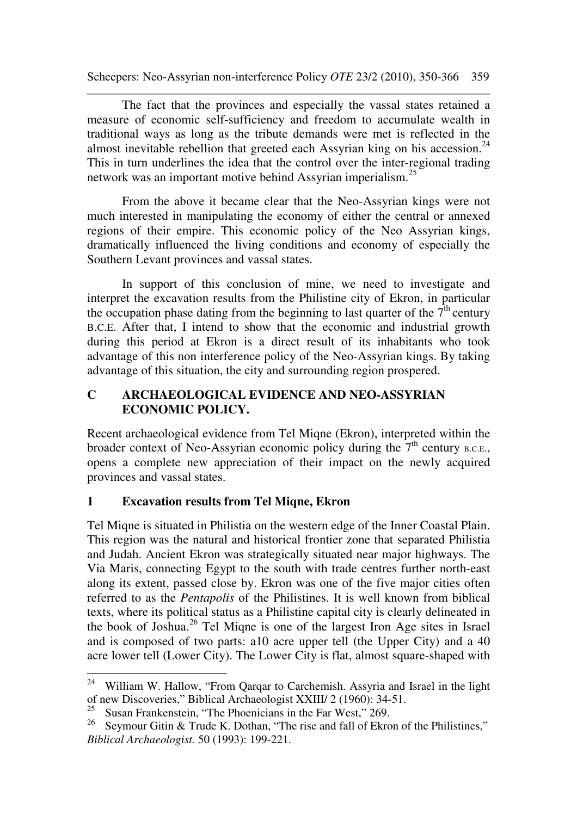The fact that the provinces and especially the vassal states retained a measure of economic self-sufficiency and freedom to accumulate wealth in traditional ways as long as the tribute demands were met is reflected in the almost inevitable rebellion that greeted each Assyrian king on his accession.<sup>24</sup> This in turn underlines the idea that the control over the inter-regional trading network was an important motive behind Assyrian imperialism.<sup>25</sup>

From the above it became clear that the Neo-Assyrian kings were not much interested in manipulating the economy of either the central or annexed regions of their empire. This economic policy of the Neo Assyrian kings, dramatically influenced the living conditions and economy of especially the Southern Levant provinces and vassal states.

In support of this conclusion of mine, we need to investigate and interpret the excavation results from the Philistine city of Ekron, in particular the occupation phase dating from the beginning to last quarter of the  $7<sup>th</sup>$  century B.C.E. After that, I intend to show that the economic and industrial growth during this period at Ekron is a direct result of its inhabitants who took advantage of this non interference policy of the Neo-Assyrian kings. By taking advantage of this situation, the city and surrounding region prospered.

# **C ARCHAEOLOGICAL EVIDENCE AND NEO-ASSYRIAN ECONOMIC POLICY.**

Recent archaeological evidence from Tel Miqne (Ekron), interpreted within the broader context of Neo-Assyrian economic policy during the  $7<sup>th</sup>$  century B.C.E., opens a complete new appreciation of their impact on the newly acquired provinces and vassal states.

# **1 Excavation results from Tel Miqne, Ekron**

Tel Miqne is situated in Philistia on the western edge of the Inner Coastal Plain. This region was the natural and historical frontier zone that separated Philistia and Judah. Ancient Ekron was strategically situated near major highways. The Via Maris, connecting Egypt to the south with trade centres further north-east along its extent, passed close by. Ekron was one of the five major cities often referred to as the *Pentapolis* of the Philistines. It is well known from biblical texts, where its political status as a Philistine capital city is clearly delineated in the book of Joshua.<sup>26</sup> Tel Miqne is one of the largest Iron Age sites in Israel and is composed of two parts: a10 acre upper tell (the Upper City) and a 40 acre lower tell (Lower City). The Lower City is flat, almost square-shaped with

<sup>24</sup> William W. Hallow, "From Qarqar to Carchemish. Assyria and Israel in the light of new Discoveries," Biblical Archaeologist XXIII/ 2 (1960): 34-51.

<sup>&</sup>lt;sup>25</sup>Susan Frankenstein, "The Phoenicians in the Far West," 269.<br><sup>26</sup>Source: Gitin & Trude K, Dothan. "The rise and fall of Ekro

Seymour Gitin & Trude K. Dothan, "The rise and fall of Ekron of the Philistines," *Biblical Archaeologist.* 50 (1993): 199-221.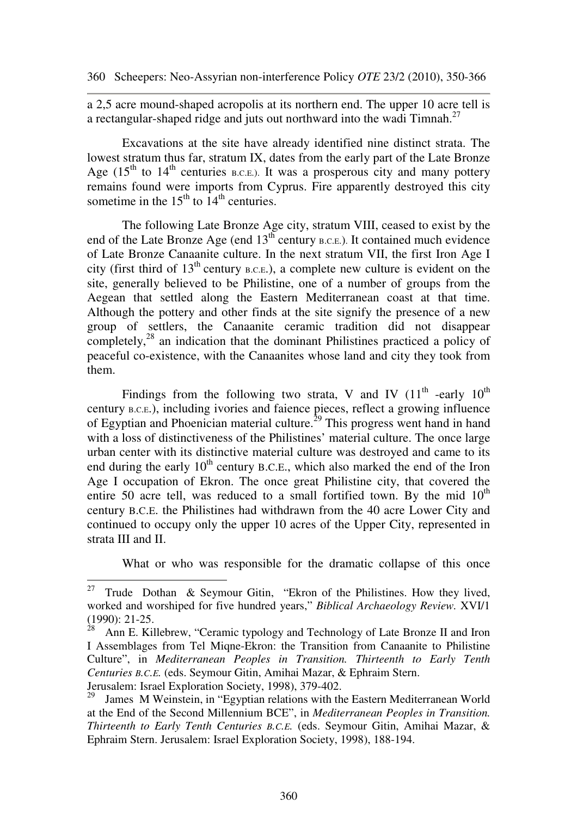a 2,5 acre mound-shaped acropolis at its northern end. The upper 10 acre tell is a rectangular-shaped ridge and juts out northward into the wadi Timnah. $^{27}$ 

Excavations at the site have already identified nine distinct strata. The lowest stratum thus far, stratum IX, dates from the early part of the Late Bronze Age  $(15<sup>th</sup>$  to  $14<sup>th</sup>$  centuries b.c.e.). It was a prosperous city and many pottery remains found were imports from Cyprus. Fire apparently destroyed this city sometime in the  $15<sup>th</sup>$  to  $14<sup>th</sup>$  centuries.

The following Late Bronze Age city, stratum VIII, ceased to exist by the end of the Late Bronze Age (end  $13<sup>th</sup>$  century  $B.C.E.$ ). It contained much evidence of Late Bronze Canaanite culture. In the next stratum VII, the first Iron Age I city (first third of  $13<sup>th</sup>$  century  $_{B.C.E.}$ ), a complete new culture is evident on the site, generally believed to be Philistine, one of a number of groups from the Aegean that settled along the Eastern Mediterranean coast at that time. Although the pottery and other finds at the site signify the presence of a new group of settlers, the Canaanite ceramic tradition did not disappear completely, $^{28}$  an indication that the dominant Philistines practiced a policy of peaceful co-existence, with the Canaanites whose land and city they took from them.

Findings from the following two strata, V and IV  $(11<sup>th</sup>$  -early  $10<sup>th</sup>$ century B.C.E.), including ivories and faience pieces, reflect a growing influence of Egyptian and Phoenician material culture.<sup>29</sup> This progress went hand in hand with a loss of distinctiveness of the Philistines' material culture. The once large urban center with its distinctive material culture was destroyed and came to its end during the early  $10<sup>th</sup>$  century B.C.E., which also marked the end of the Iron Age I occupation of Ekron. The once great Philistine city, that covered the entire 50 acre tell, was reduced to a small fortified town. By the mid  $10<sup>th</sup>$ century B.C.E. the Philistines had withdrawn from the 40 acre Lower City and continued to occupy only the upper 10 acres of the Upper City, represented in strata III and II.

What or who was responsible for the dramatic collapse of this once

 $27\,$ Trude Dothan & Seymour Gitin, "Ekron of the Philistines. How they lived, worked and worshiped for five hundred years," *Biblical Archaeology Review.* XVI/1 (1990): 21-25.

 $^{28}$  Ann E. Killebrew, "Ceramic typology and Technology of Late Bronze II and Iron I Assemblages from Tel Miqne-Ekron: the Transition from Canaanite to Philistine Culture", in *Mediterranean Peoples in Transition. Thirteenth to Early Tenth Centuries B.C.E.* (eds. Seymour Gitin, Amihai Mazar, & Ephraim Stern. Jerusalem: Israel Exploration Society, 1998), 379-402.

<sup>&</sup>lt;sup>29</sup> James M Weinstein, in "Egyptian relations with the Eastern Mediterranean World at the End of the Second Millennium BCE", in *Mediterranean Peoples in Transition. Thirteenth to Early Tenth Centuries B.C.E.* (eds. Seymour Gitin, Amihai Mazar, & Ephraim Stern. Jerusalem: Israel Exploration Society, 1998), 188-194.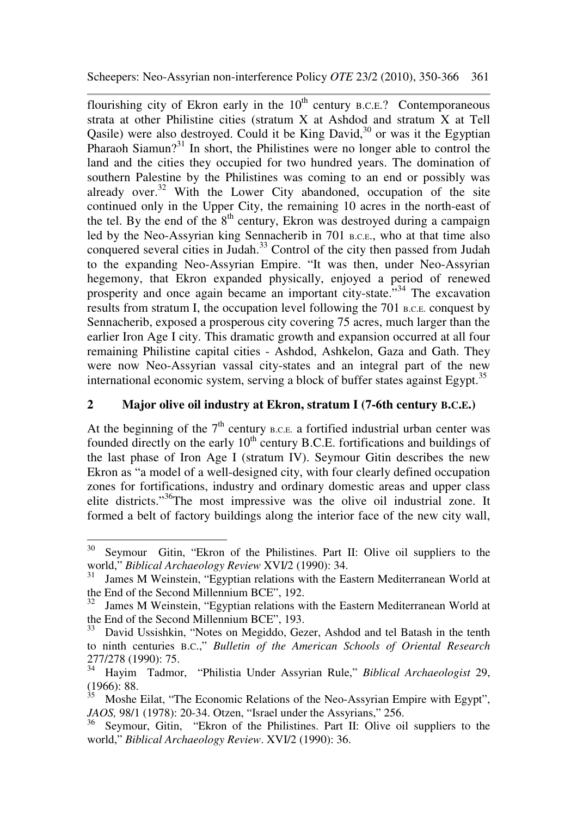flourishing city of Ekron early in the  $10<sup>th</sup>$  century B.C.E.? Contemporaneous strata at other Philistine cities (stratum X at Ashdod and stratum X at Tell Qasile) were also destroyed. Could it be King David, $30$  or was it the Egyptian Pharaoh Siamun?<sup>31</sup> In short, the Philistines were no longer able to control the land and the cities they occupied for two hundred years. The domination of southern Palestine by the Philistines was coming to an end or possibly was already over. $32$  With the Lower City abandoned, occupation of the site continued only in the Upper City, the remaining 10 acres in the north-east of the tel. By the end of the  $8<sup>th</sup>$  century, Ekron was destroyed during a campaign led by the Neo-Assyrian king Sennacherib in 701 B.C.E., who at that time also conquered several cities in Judah.<sup>33</sup> Control of the city then passed from Judah to the expanding Neo-Assyrian Empire. "It was then, under Neo-Assyrian hegemony, that Ekron expanded physically, enjoyed a period of renewed prosperity and once again became an important city-state.<sup>334</sup> The excavation results from stratum I, the occupation level following the 701 B.C.E. conquest by Sennacherib, exposed a prosperous city covering 75 acres, much larger than the earlier Iron Age I city. This dramatic growth and expansion occurred at all four remaining Philistine capital cities - Ashdod, Ashkelon, Gaza and Gath. They were now Neo-Assyrian vassal city-states and an integral part of the new international economic system, serving a block of buffer states against Egypt.<sup>35</sup>

## **2 Major olive oil industry at Ekron, stratum I (7-6th century B.C.E.)**

At the beginning of the  $7<sup>th</sup>$  century B.C.E. a fortified industrial urban center was founded directly on the early  $10<sup>th</sup>$  century B.C.E. fortifications and buildings of the last phase of Iron Age I (stratum IV). Seymour Gitin describes the new Ekron as "a model of a well-designed city, with four clearly defined occupation zones for fortifications, industry and ordinary domestic areas and upper class elite districts."<sup>36</sup>The most impressive was the olive oil industrial zone. It formed a belt of factory buildings along the interior face of the new city wall,

<sup>30</sup> Seymour Gitin, "Ekron of the Philistines. Part II: Olive oil suppliers to the world," *Biblical Archaeology Review* XVI/2 (1990): 34.

 $31$  James M Weinstein, "Egyptian relations with the Eastern Mediterranean World at the End of the Second Millennium BCE", 192.

James M Weinstein, "Egyptian relations with the Eastern Mediterranean World at the End of the Second Millennium BCE", 193.

<sup>&</sup>lt;sup>33</sup> David Ussishkin, "Notes on Megiddo, Gezer, Ashdod and tel Batash in the tenth to ninth centuries B.C.," *Bulletin of the American Schools of Oriental Research* 277/278 (1990): 75.

<sup>34</sup> Hayim Tadmor, "Philistia Under Assyrian Rule," *Biblical Archaeologist* 29,  $(1966): 88.$ <br> $\frac{35}{10}$  Mosbe

<sup>35</sup> Moshe Eilat, "The Economic Relations of the Neo-Assyrian Empire with Egypt", *JAOS,* 98/1 (1978): 20-34. Otzen, "Israel under the Assyrians," 256.

<sup>36</sup> Seymour, Gitin, "Ekron of the Philistines. Part II: Olive oil suppliers to the world," *Biblical Archaeology Review*. XVI/2 (1990): 36.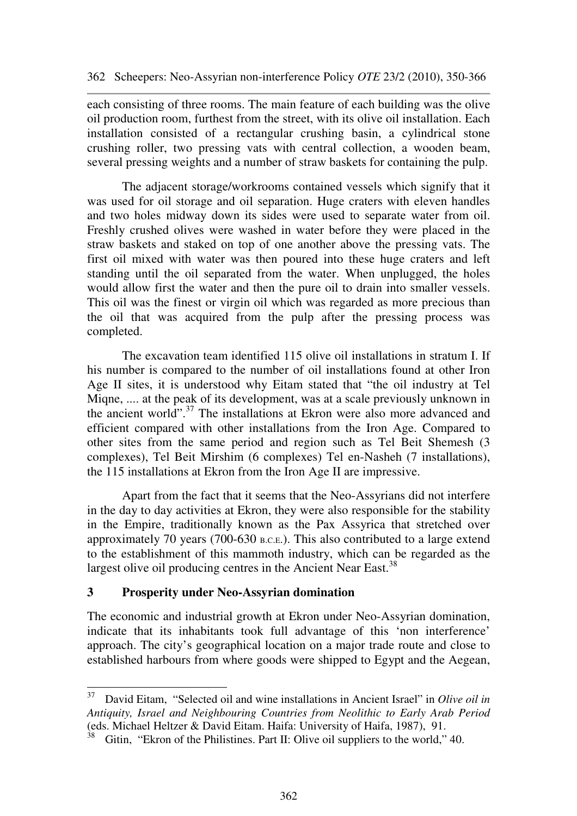each consisting of three rooms. The main feature of each building was the olive oil production room, furthest from the street, with its olive oil installation. Each installation consisted of a rectangular crushing basin, a cylindrical stone crushing roller, two pressing vats with central collection, a wooden beam, several pressing weights and a number of straw baskets for containing the pulp.

The adjacent storage/workrooms contained vessels which signify that it was used for oil storage and oil separation. Huge craters with eleven handles and two holes midway down its sides were used to separate water from oil. Freshly crushed olives were washed in water before they were placed in the straw baskets and staked on top of one another above the pressing vats. The first oil mixed with water was then poured into these huge craters and left standing until the oil separated from the water. When unplugged, the holes would allow first the water and then the pure oil to drain into smaller vessels. This oil was the finest or virgin oil which was regarded as more precious than the oil that was acquired from the pulp after the pressing process was completed.

The excavation team identified 115 olive oil installations in stratum I. If his number is compared to the number of oil installations found at other Iron Age II sites, it is understood why Eitam stated that "the oil industry at Tel Miqne, .... at the peak of its development, was at a scale previously unknown in the ancient world".<sup>37</sup> The installations at Ekron were also more advanced and efficient compared with other installations from the Iron Age. Compared to other sites from the same period and region such as Tel Beit Shemesh (3 complexes), Tel Beit Mirshim (6 complexes) Tel en-Nasheh (7 installations), the 115 installations at Ekron from the Iron Age II are impressive.

 Apart from the fact that it seems that the Neo-Assyrians did not interfere in the day to day activities at Ekron, they were also responsible for the stability in the Empire, traditionally known as the Pax Assyrica that stretched over approximately 70 years (700-630 B.C.E.). This also contributed to a large extend to the establishment of this mammoth industry, which can be regarded as the largest olive oil producing centres in the Ancient Near East.<sup>38</sup>

#### **3 Prosperity under Neo-Assyrian domination**

The economic and industrial growth at Ekron under Neo-Assyrian domination, indicate that its inhabitants took full advantage of this 'non interference' approach. The city's geographical location on a major trade route and close to established harbours from where goods were shipped to Egypt and the Aegean,

<sup>37</sup> <sup>37</sup>David Eitam, "Selected oil and wine installations in Ancient Israel" in *Olive oil in Antiquity, Israel and Neighbouring Countries from Neolithic to Early Arab Period*  (eds. Michael Heltzer & David Eitam. Haifa: University of Haifa, 1987), 91.

 $38$  Gitin, "Ekron of the Philistines. Part II: Olive oil suppliers to the world," 40.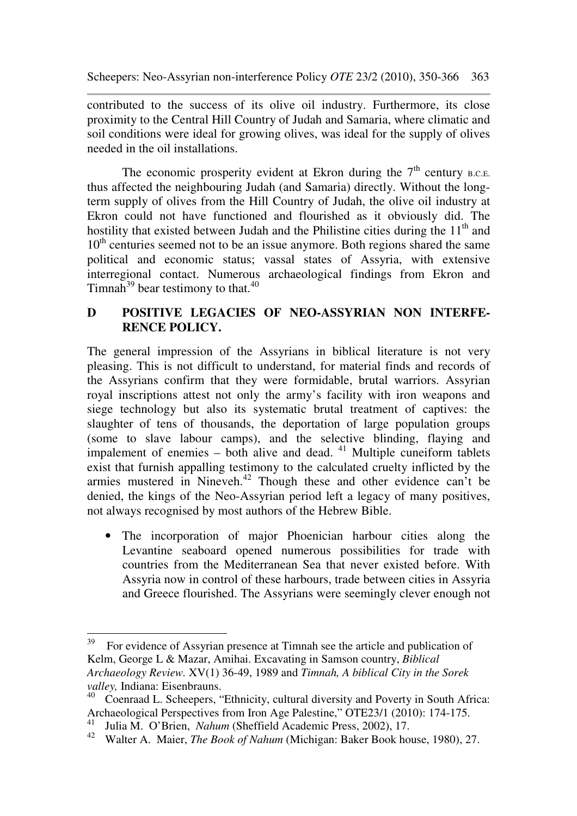contributed to the success of its olive oil industry. Furthermore, its close proximity to the Central Hill Country of Judah and Samaria, where climatic and soil conditions were ideal for growing olives, was ideal for the supply of olives needed in the oil installations.

The economic prosperity evident at Ekron during the  $7<sup>th</sup>$  century B.C.E. thus affected the neighbouring Judah (and Samaria) directly. Without the longterm supply of olives from the Hill Country of Judah, the olive oil industry at Ekron could not have functioned and flourished as it obviously did. The hostility that existed between Judah and the Philistine cities during the  $11<sup>th</sup>$  and 10<sup>th</sup> centuries seemed not to be an issue anymore. Both regions shared the same political and economic status; vassal states of Assyria, with extensive interregional contact. Numerous archaeological findings from Ekron and Timnah $^{39}$  bear testimony to that.<sup>40</sup>

## **D POSITIVE LEGACIES OF NEO-ASSYRIAN NON INTERFE-RENCE POLICY.**

The general impression of the Assyrians in biblical literature is not very pleasing. This is not difficult to understand, for material finds and records of the Assyrians confirm that they were formidable, brutal warriors. Assyrian royal inscriptions attest not only the army's facility with iron weapons and siege technology but also its systematic brutal treatment of captives: the slaughter of tens of thousands, the deportation of large population groups (some to slave labour camps), and the selective blinding, flaying and impalement of enemies – both alive and dead.  $41$  Multiple cuneiform tablets exist that furnish appalling testimony to the calculated cruelty inflicted by the armies mustered in Nineveh.<sup>42</sup> Though these and other evidence can't be denied, the kings of the Neo-Assyrian period left a legacy of many positives, not always recognised by most authors of the Hebrew Bible.

• The incorporation of major Phoenician harbour cities along the Levantine seaboard opened numerous possibilities for trade with countries from the Mediterranean Sea that never existed before. With Assyria now in control of these harbours, trade between cities in Assyria and Greece flourished. The Assyrians were seemingly clever enough not

<sup>39</sup> <sup>39</sup> For evidence of Assyrian presence at Timnah see the article and publication of Kelm, George L & Mazar, Amihai. Excavating in Samson country, *Biblical Archaeology Review.* XV(1) 36-49, 1989 and *Timnah, A biblical City in the Sorek valley,* Indiana: Eisenbrauns.

<sup>&</sup>lt;sup>40</sup> Coenraad L. Scheepers, "Ethnicity, cultural diversity and Poverty in South Africa: Archaeological Perspectives from Iron Age Palestine," OTE23/1 (2010): 174-175.

<sup>41</sup> Julia M. O'Brien, *Nahum* (Sheffield Academic Press, 2002), 17.

<sup>42</sup> Walter A. Maier, *The Book of Nahum* (Michigan: Baker Book house, 1980), 27.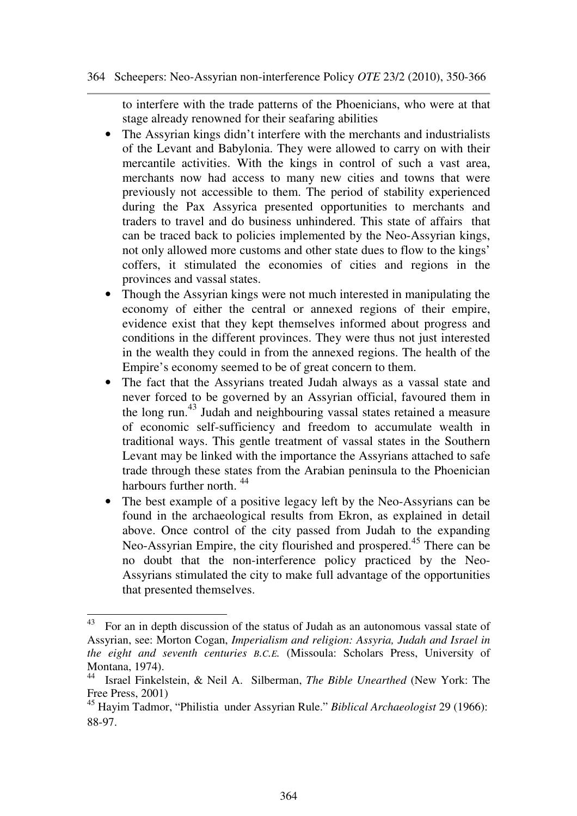to interfere with the trade patterns of the Phoenicians, who were at that stage already renowned for their seafaring abilities

- The Assyrian kings didn't interfere with the merchants and industrialists of the Levant and Babylonia. They were allowed to carry on with their mercantile activities. With the kings in control of such a vast area, merchants now had access to many new cities and towns that were previously not accessible to them. The period of stability experienced during the Pax Assyrica presented opportunities to merchants and traders to travel and do business unhindered. This state of affairs that can be traced back to policies implemented by the Neo-Assyrian kings, not only allowed more customs and other state dues to flow to the kings' coffers, it stimulated the economies of cities and regions in the provinces and vassal states.
- Though the Assyrian kings were not much interested in manipulating the economy of either the central or annexed regions of their empire, evidence exist that they kept themselves informed about progress and conditions in the different provinces. They were thus not just interested in the wealth they could in from the annexed regions. The health of the Empire's economy seemed to be of great concern to them.
- The fact that the Assyrians treated Judah always as a vassal state and never forced to be governed by an Assyrian official, favoured them in the long run.<sup>43</sup> Judah and neighbouring vassal states retained a measure of economic self-sufficiency and freedom to accumulate wealth in traditional ways. This gentle treatment of vassal states in the Southern Levant may be linked with the importance the Assyrians attached to safe trade through these states from the Arabian peninsula to the Phoenician harbours further north.<sup>44</sup>
- The best example of a positive legacy left by the Neo-Assyrians can be found in the archaeological results from Ekron, as explained in detail above. Once control of the city passed from Judah to the expanding Neo-Assyrian Empire, the city flourished and prospered.<sup>45</sup> There can be no doubt that the non-interference policy practiced by the Neo-Assyrians stimulated the city to make full advantage of the opportunities that presented themselves.

 $\overline{a}$ 

<sup>&</sup>lt;sup>43</sup> For an in depth discussion of the status of Judah as an autonomous vassal state of Assyrian, see: Morton Cogan, *Imperialism and religion: Assyria, Judah and Israel in the eight and seventh centuries B.C.E.* (Missoula: Scholars Press, University of Montana, 1974).

<sup>44</sup> Israel Finkelstein, & Neil A. Silberman, *The Bible Unearthed* (New York: The Free Press, 2001)

<sup>45</sup> Hayim Tadmor, "Philistia under Assyrian Rule." *Biblical Archaeologist* 29 (1966): 88-97.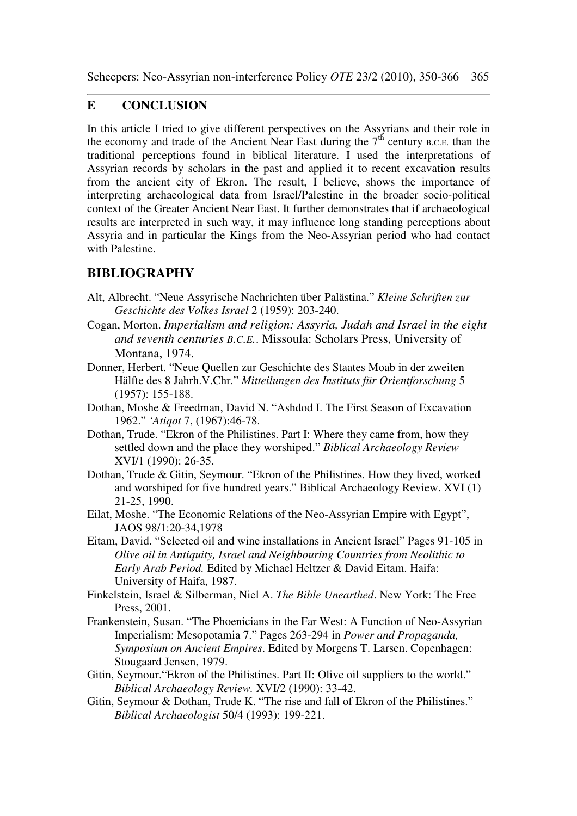#### **E CONCLUSION**

In this article I tried to give different perspectives on the Assyrians and their role in the economy and trade of the Ancient Near East during the  $7<sup>th</sup>$  century B.C.E. than the traditional perceptions found in biblical literature. I used the interpretations of Assyrian records by scholars in the past and applied it to recent excavation results from the ancient city of Ekron. The result, I believe, shows the importance of interpreting archaeological data from Israel/Palestine in the broader socio-political context of the Greater Ancient Near East. It further demonstrates that if archaeological results are interpreted in such way, it may influence long standing perceptions about Assyria and in particular the Kings from the Neo-Assyrian period who had contact with Palestine.

# **BIBLIOGRAPHY**

- Alt, Albrecht. "Neue Assyrische Nachrichten über Palästina." *Kleine Schriften zur Geschichte des Volkes Israel* 2 (1959): 203-240.
- Cogan, Morton. *Imperialism and religion: Assyria, Judah and Israel in the eight and seventh centuries B.C.E.*. Missoula: Scholars Press, University of Montana, 1974.
- Donner, Herbert. "Neue Quellen zur Geschichte des Staates Moab in der zweiten Hälfte des 8 Jahrh.V.Chr." *Mitteilungen des Instituts für Orientforschung* 5 (1957): 155-188.
- Dothan, Moshe & Freedman, David N. "Ashdod I. The First Season of Excavation 1962." *'Atiqot* 7, (1967):46-78.
- Dothan, Trude. "Ekron of the Philistines. Part I: Where they came from, how they settled down and the place they worshiped." *Biblical Archaeology Review* XVI/1 (1990): 26-35.
- Dothan, Trude & Gitin, Seymour. "Ekron of the Philistines. How they lived, worked and worshiped for five hundred years." Biblical Archaeology Review. XVI (1) 21-25, 1990.
- Eilat, Moshe. "The Economic Relations of the Neo-Assyrian Empire with Egypt", JAOS 98/1:20-34,1978
- Eitam, David. "Selected oil and wine installations in Ancient Israel" Pages 91-105 in *Olive oil in Antiquity, Israel and Neighbouring Countries from Neolithic to Early Arab Period.* Edited by Michael Heltzer & David Eitam. Haifa: University of Haifa, 1987.
- Finkelstein, Israel & Silberman, Niel A. *The Bible Unearthed*. New York: The Free Press, 2001.
- Frankenstein, Susan. "The Phoenicians in the Far West: A Function of Neo-Assyrian Imperialism: Mesopotamia 7." Pages 263-294 in *Power and Propaganda, Symposium on Ancient Empires*. Edited by Morgens T. Larsen. Copenhagen: Stougaard Jensen, 1979.
- Gitin, Seymour."Ekron of the Philistines. Part II: Olive oil suppliers to the world." *Biblical Archaeology Review.* XVI/2 (1990): 33-42.
- Gitin, Seymour & Dothan, Trude K. "The rise and fall of Ekron of the Philistines." *Biblical Archaeologist* 50/4 (1993): 199-221.